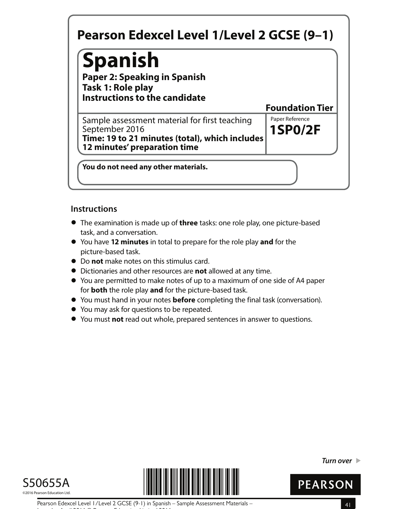# **Spanish**

**Paper 2: Speaking in Spanish Task 1: Role play Instructions to the candidate**

**1SP0/2F** Sample assessment material for first teaching Faper Reference September 2016 **Time: 19 to 21 minutes (total), which includes 12 minutes' preparation time**

**You do not need any other materials.**

## **Instructions**

- **•** The examination is made up of **three** tasks: one role play, one picture-based task, and a conversation.
- **•** You have **12 minutes** in total to prepare for the role play **and** for the picture-based task.
- **•** Do **not** make notes on this stimulus card.
- **•** Dictionaries and other resources are **not** allowed at any time.
- **•** You are permitted to make notes of up to a maximum of one side of A4 paper for **both** the role play **and** for the picture-based task.
- **•** for **both** the role play and for the picture-based task.<br>• You must hand in your notes **before** completing the final task (conversation).
- **•** You must hand in your notes **before** comp<br>• You may ask for questions to be repeated.
- **●** You may ask for questions to be repeated.<br>● You must **not** read out whole, prepared sentences in answer to questions.





**Turn over** 



**Foundation Tier**

Pearson Edexcel Level 1/Level 2 GCSE (9-1) in Spanish – Sample Assessment Materials – 41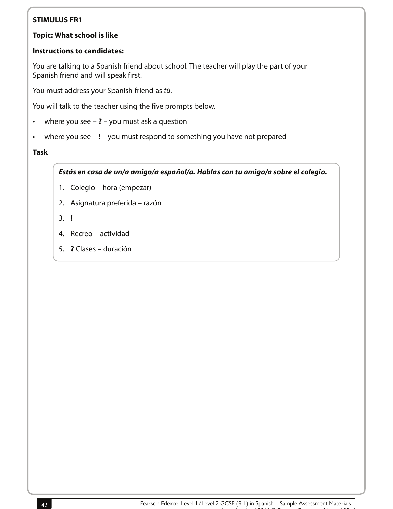#### **Topic: What school is like**

#### **Instructions to candidates:**

You are talking to a Spanish friend about school. The teacher will play the part of your Spanish friend and will speak first.

You must address your Spanish friend as tú.

You will talk to the teacher using the five prompts below.

- where you see **?** you must ask a question
- where you see **!** you must respond to something you have not prepared

#### **Task**

**Estás en casa de un/a amigo/a español/a. Hablas con tu amigo/a sobre el colegio.**

- 1. Colegio hora (empezar)
- 2. Asignatura preferida razón
- 3. **!**
- 4. Recreo actividad
- 5. **?** Clases duración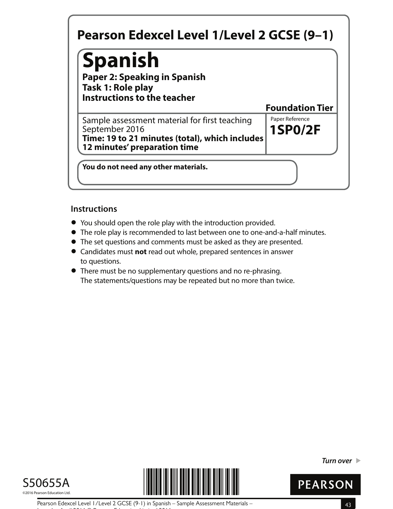# **Spanish**

**Paper 2: Speaking in Spanish Task 1: Role play Instructions to the teacher**

**1SP0/2F** Sample assessment material for first teaching Faper Reference September 2016 **Time: 19 to 21 minutes (total), which includes 12 minutes' preparation time**

**You do not need any other materials.**

## **Instructions**

- **•** You should open the role play with the introduction provided.
- You should open the role play with the introduction provided.<br>● The role play is recommended to last between one to one-and-a-half minutes.
- The role play is recommended to last between one to one-and-a-half n<br>● The set questions and comments must be asked as they are presented. • The set questions and comments must be asked as they are presented.<br>• Candidates must **not** read out whole, prepared sentences in answer
- to questions.
- **•** There must be no supplementary questions and no re-phrasing. The statements/questions may be repeated but no more than twice.





**Turn over** 



**Foundation Tier**

Pearson Edexcel Level 1/Level 2 GCSE (9-1) in Spanish – Sample Assessment Materials – 43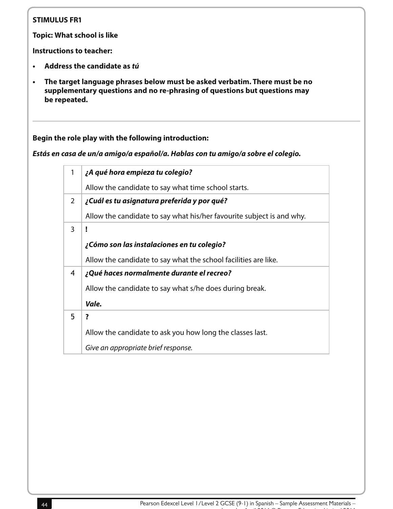**Topic: What school is like**

**Instructions to teacher:**

- **• Address the candidate as tú**
- **• The target language phrases below must be asked verbatim. There must be no supplementary questions and no re-phrasing of questions but questions may be repeated.**

**Begin the role play with the following introduction:**

**Estás en casa de un/a amigo/a español/a. Hablas con tu amigo/a sobre el colegio.**

| 1 | ¿A qué hora empieza tu colegio?                                       |
|---|-----------------------------------------------------------------------|
|   | Allow the candidate to say what time school starts.                   |
| 2 | ¿Cuál es tu asignatura preferida y por qué?                           |
|   | Allow the candidate to say what his/her favourite subject is and why. |
| 3 |                                                                       |
|   | ¿Cómo son las instalaciones en tu colegio?                            |
|   | Allow the candidate to say what the school facilities are like.       |
| 4 | ¿Qué haces normalmente durante el recreo?                             |
|   | Allow the candidate to say what s/he does during break.               |
|   | Vale.                                                                 |
| 5 | ?                                                                     |
|   | Allow the candidate to ask you how long the classes last.             |
|   | Give an appropriate brief response.                                   |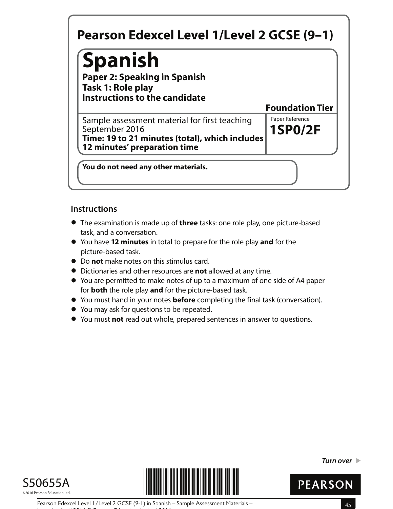# **Spanish**

**Paper 2: Speaking in Spanish Task 1: Role play Instructions to the candidate**

**1SP0/2F** Sample assessment material for first teaching Faper Reference September 2016 **Time: 19 to 21 minutes (total), which includes 12 minutes' preparation time**

**You do not need any other materials.**

## **Instructions**

- **•** The examination is made up of **three** tasks: one role play, one picture-based task, and a conversation.
- **•** You have **12 minutes** in total to prepare for the role play **and** for the picture-based task.
- **•** Do **not** make notes on this stimulus card.
- **•** Dictionaries and other resources are **not** allowed at any time.
- **•** You are permitted to make notes of up to a maximum of one side of A4 paper for **both** the role play **and** for the picture-based task.
- **•** for **both** the role play and for the picture-based task.<br>• You must hand in your notes **before** completing the final task (conversation).
- **•** You must hand in your notes **before** comp<br>• You may ask for questions to be repeated.
- **●** You may ask for questions to be repeated.<br>● You must **not** read out whole, prepared sentences in answer to questions.





**Turn over** 



**Foundation Tier**

Pearson Edexcel Level 1/Level 2 GCSE (9-1) in Spanish – Sample Assessment Materials – 45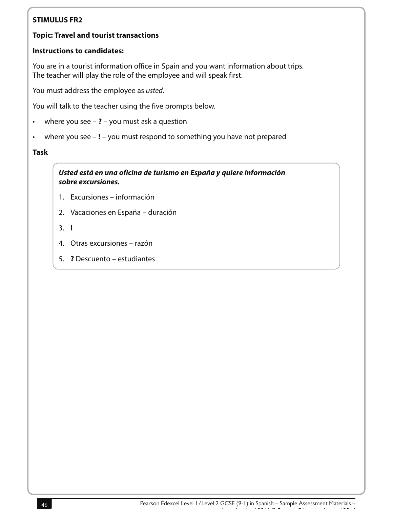#### **Topic: Travel and tourist transactions**

#### **Instructions to candidates:**

You are in a tourist information office in Spain and you want information about trips. The teacher will play the role of the employee and will speak first.

You must address the employee as usted.

You will talk to the teacher using the five prompts below.

- where you see **?** you must ask a question
- where you see **!** you must respond to something you have not prepared

#### **Task**

**Usted está en una oficina de turismo en España y quiere información sobre excursiones.**

- 1. Excursiones información
- 2. Vacaciones en España duración
- 3. **!**
- 4. Otras excursiones razón
- 5. **?** Descuento estudiantes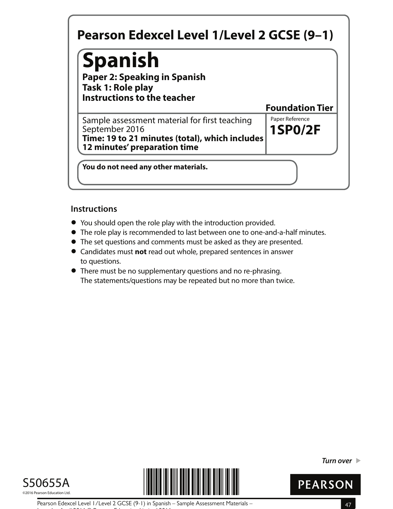# **Spanish**

**Paper 2: Speaking in Spanish Task 1: Role play Instructions to the teacher**

**1SP0/2F** Sample assessment material for first teaching Faper Reference September 2016 **Time: 19 to 21 minutes (total), which includes 12 minutes' preparation time**

**You do not need any other materials.**

## **Instructions**

- **•** You should open the role play with the introduction provided.
- You should open the role play with the introduction provided.<br>● The role play is recommended to last between one to one-and-a-half minutes.
- The role play is recommended to last between one to one-and-a-half n<br>● The set questions and comments must be asked as they are presented. • The set questions and comments must be asked as they are presented.<br>• Candidates must **not** read out whole, prepared sentences in answer
- to questions.
- **•** There must be no supplementary questions and no re-phrasing. The statements/questions may be repeated but no more than twice.





**Turn over** 



**Foundation Tier**

Pearson Edexcel Level 1/Level 2 GCSE (9-1) in Spanish – Sample Assessment Materials – 47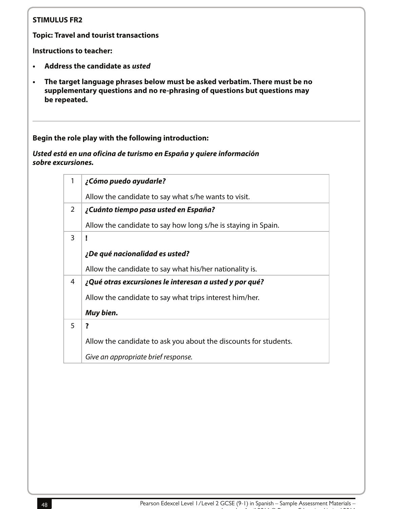**Topic: Travel and tourist transactions**

**Instructions to teacher:**

- **• Address the candidate as usted**
- **• The target language phrases below must be asked verbatim. There must be no supplementary questions and no re-phrasing of questions but questions may be repeated.**

**Begin the role play with the following introduction:**

**Usted está en una oficina de turismo en España y quiere información sobre excursiones.**

| $\mathbf{1}$   | ¿Cómo puedo ayudarle?                                            |
|----------------|------------------------------------------------------------------|
|                |                                                                  |
|                | Allow the candidate to say what s/he wants to visit.             |
| $\overline{2}$ | ¿Cuánto tiempo pasa usted en España?                             |
|                | Allow the candidate to say how long s/he is staying in Spain.    |
| 3              |                                                                  |
|                |                                                                  |
|                | ¿De qué nacionalidad es usted?                                   |
|                | Allow the candidate to say what his/her nationality is.          |
| 4              | ¿Qué otras excursiones le interesan a usted y por qué?           |
|                | Allow the candidate to say what trips interest him/her.          |
|                | Muy bien.                                                        |
| 5              | ?                                                                |
|                | Allow the candidate to ask you about the discounts for students. |
|                |                                                                  |
|                | Give an appropriate brief response.                              |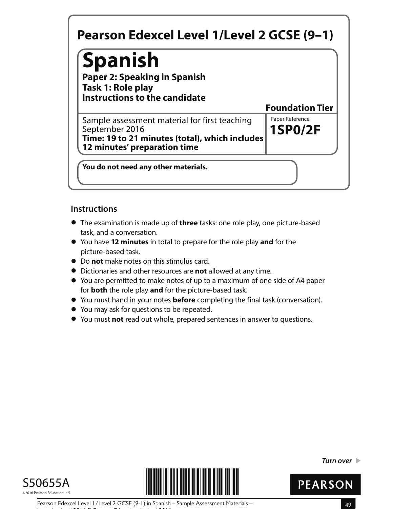# **Spanish**

**Paper 2: Speaking in Spanish Task 1: Role play Instructions to the candidate**

**1SP0/2F** Sample assessment material for first teaching Faper Reference September 2016 **Time: 19 to 21 minutes (total), which includes 12 minutes' preparation time**

**You do not need any other materials.**

## **Instructions**

- **•** The examination is made up of **three** tasks: one role play, one picture-based task, and a conversation.
- **•** You have **12 minutes** in total to prepare for the role play **and** for the picture-based task.
- **•** Do **not** make notes on this stimulus card.
- **•** Dictionaries and other resources are **not** allowed at any time.
- **•** You are permitted to make notes of up to a maximum of one side of A4 paper for **both** the role play **and** for the picture-based task.
- **•** for **both** the role play and for the picture-based task.<br>• You must hand in your notes **before** completing the final task (conversation).
- **•** You must hand in your notes **before** comp<br>• You may ask for questions to be repeated.
- **●** You may ask for questions to be repeated.<br>● You must **not** read out whole, prepared sentences in answer to questions.





**Turn over** 



**Foundation Tier**

Pearson Edexcel Level 1/Level 2 GCSE (9-1) in Spanish – Sample Assessment Materials – 49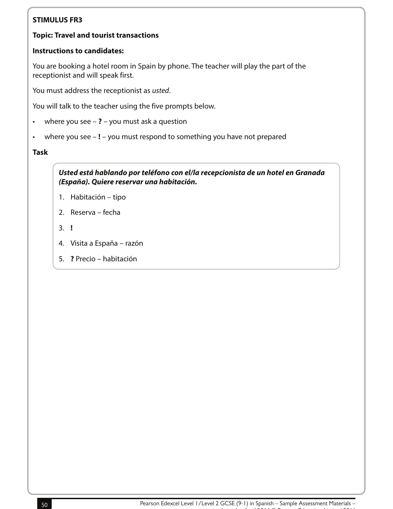#### **Topic: Travel and tourist transactions**

#### **Instructions to candidates:**

You are booking a hotel room in Spain by phone. The teacher will play the part of the receptionist and will speak first.

You must address the receptionist as usted.

You will talk to the teacher using the five prompts below.

- where you see **?** you must ask a question
- where you see **!** you must respond to something you have not prepared

#### **Task**

**Usted está hablando por teléfono con el/la recepcionista de un hotel en Granada (España). Quiere reservar una habitación.**

- 1. Habitación tipo
- 2. Reserva fecha
- 3. **!**
- 4. Visita a España razón
- 5. **?** Precio habitación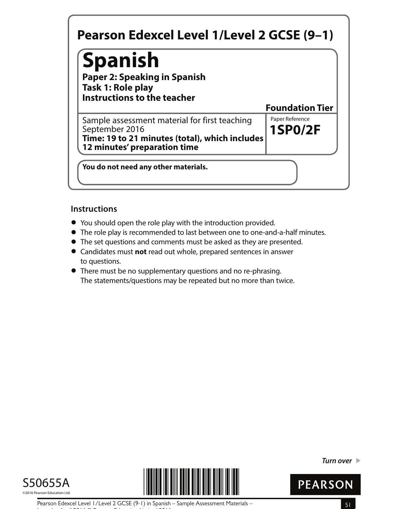# **Spanish**

**Paper 2: Speaking in Spanish Task 1: Role play Instructions to the teacher**

**1SP0/2F** Sample assessment material for first teaching Faper Reference September 2016 **Time: 19 to 21 minutes (total), which includes 12 minutes' preparation time**

**You do not need any other materials.**

## **Instructions**

- **•** You should open the role play with the introduction provided.
- You should open the role play with the introduction provided.<br>● The role play is recommended to last between one to one-and-a-half minutes.
- The role play is recommended to last between one to one-and-a-half n<br>● The set questions and comments must be asked as they are presented. • The set questions and comments must be asked as they are presented.<br>• Candidates must **not** read out whole, prepared sentences in answer
- to questions.
- **•** There must be no supplementary questions and no re-phrasing. The statements/questions may be repeated but no more than twice.





**Turn over** 



**Foundation Tier**

Pearson Edexcel Level 1/Level 2 GCSE (9-1) in Spanish – Sample Assessment Materials – 51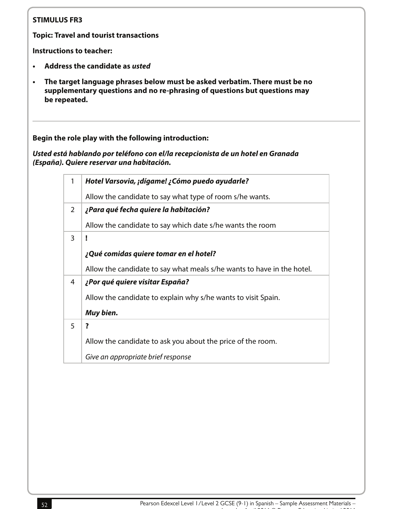**Topic: Travel and tourist transactions**

**Instructions to teacher:**

- **• Address the candidate as usted**
- **• The target language phrases below must be asked verbatim. There must be no supplementary questions and no re-phrasing of questions but questions may be repeated.**

**Begin the role play with the following introduction:**

**Usted está hablando por teléfono con el/la recepcionista de un hotel en Granada (España). Quiere reservar una habitación.**

| 1 | Hotel Varsovia, ¡dígame! ¿Cómo puedo ayudarle?                         |
|---|------------------------------------------------------------------------|
|   | Allow the candidate to say what type of room s/he wants.               |
| 2 | ¿Para qué fecha quiere la habitación?                                  |
|   | Allow the candidate to say which date s/he wants the room              |
| 3 | ï                                                                      |
|   | ¿Qué comidas quiere tomar en el hotel?                                 |
|   | Allow the candidate to say what meals s/he wants to have in the hotel. |
| 4 | ¿Por qué quiere visitar España?                                        |
|   | Allow the candidate to explain why s/he wants to visit Spain.          |
|   | Muy bien.                                                              |
| 5 | ?                                                                      |
|   | Allow the candidate to ask you about the price of the room.            |
|   | Give an appropriate brief response                                     |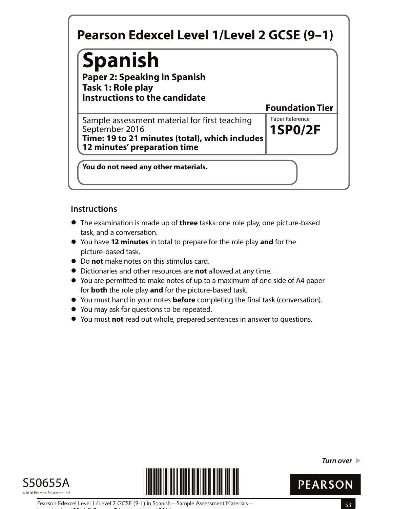# **Spanish**

**Paper 2: Speaking in Spanish Task 1: Role play Instructions to the candidate**

**1SP0/2F** Sample assessment material for first teaching Faper Reference September 2016 **Time: 19 to 21 minutes (total), which includes 12 minutes' preparation time**

**You do not need any other materials.**

## **Instructions**

- **•** The examination is made up of **three** tasks: one role play, one picture-based task, and a conversation.
- **•** You have **12 minutes** in total to prepare for the role play **and** for the picture-based task.
- **•** Do **not** make notes on this stimulus card.
- **•** Dictionaries and other resources are **not** allowed at any time.
- **•** You are permitted to make notes of up to a maximum of one side of A4 paper for **both** the role play **and** for the picture-based task.
- **•** for **both** the role play and for the picture-based task.<br>• You must hand in your notes **before** completing the final task (conversation).
- **•** You must hand in your notes **before** comp<br>• You may ask for questions to be repeated.
- **●** You may ask for questions to be repeated.<br>● You must **not** read out whole, prepared sentences in answer to questions.





**Turn over** 



**Foundation Tier**

Pearson Edexcel Level 1/Level 2 GCSE (9-1) in Spanish – Sample Assessment Materials – 53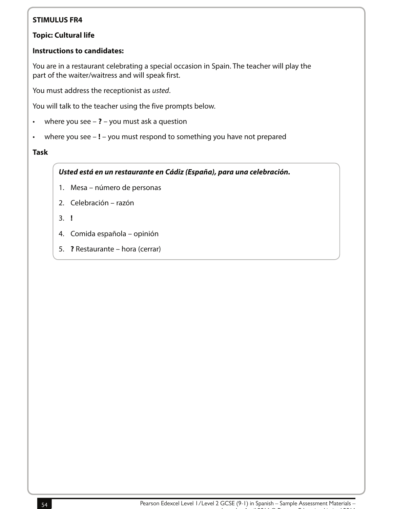#### **Topic: Cultural life**

#### **Instructions to candidates:**

You are in a restaurant celebrating a special occasion in Spain. The teacher will play the part of the waiter/waitress and will speak first.

You must address the receptionist as usted.

You will talk to the teacher using the five prompts below.

- where you see **?** you must ask a question
- where you see **!** you must respond to something you have not prepared

#### **Task**

#### **Usted está en un restaurante en Cádiz (España), para una celebración.**

- 1. Mesa número de personas
- 2. Celebración razón
- 3. **!**
- 4. Comida española opinión
- 5. **?** Restaurante hora (cerrar)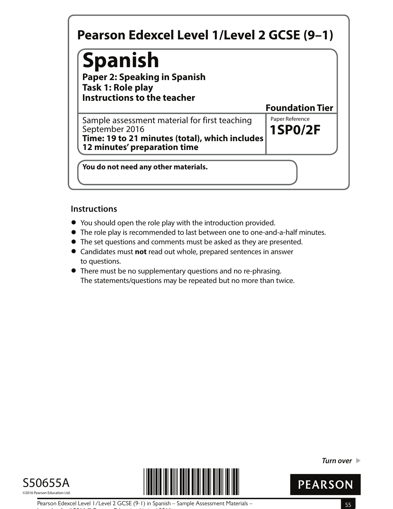# **Spanish**

**Paper 2: Speaking in Spanish Task 1: Role play Instructions to the teacher**

**1SP0/2F** Sample assessment material for first teaching Faper Reference September 2016 **Time: 19 to 21 minutes (total), which includes 12 minutes' preparation time**

**You do not need any other materials.**

## **Instructions**

- **•** You should open the role play with the introduction provided.
- You should open the role play with the introduction provided.<br>● The role play is recommended to last between one to one-and-a-half minutes.
- The role play is recommended to last between one to one-and-a-half n<br>● The set questions and comments must be asked as they are presented. • The set questions and comments must be asked as they are presented.<br>• Candidates must **not** read out whole, prepared sentences in answer
- to questions.
- **•** There must be no supplementary questions and no re-phrasing. The statements/questions may be repeated but no more than twice.





**Turn over** 



**Foundation Tier**

Pearson Edexcel Level 1/Level 2 GCSE (9-1) in Spanish – Sample Assessment Materials – 55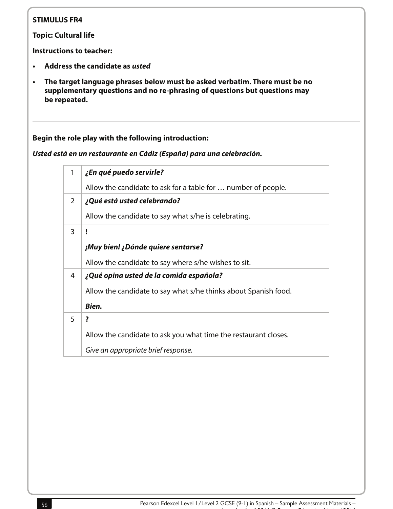**Topic: Cultural life**

**Instructions to teacher:**

- **• Address the candidate as usted**
- **• The target language phrases below must be asked verbatim. There must be no supplementary questions and no re-phrasing of questions but questions may be repeated.**

#### **Begin the role play with the following introduction:**

**Usted está en un restaurante en Cádiz (España) para una celebración.**

| 1 | ¿En qué puedo servirle?                                         |
|---|-----------------------------------------------------------------|
|   | Allow the candidate to ask for a table for  number of people.   |
| 2 | ¿Qué está usted celebrando?                                     |
|   | Allow the candidate to say what s/he is celebrating.            |
| 3 | I                                                               |
|   | ¡Muy bien! ¿Dónde quiere sentarse?                              |
|   | Allow the candidate to say where s/he wishes to sit.            |
| 4 | ¿Qué opina usted de la comida española?                         |
|   | Allow the candidate to say what s/he thinks about Spanish food. |
|   | Bien.                                                           |
| 5 | $\overline{\mathbf{?}}$                                         |
|   | Allow the candidate to ask you what time the restaurant closes. |
|   | Give an appropriate brief response.                             |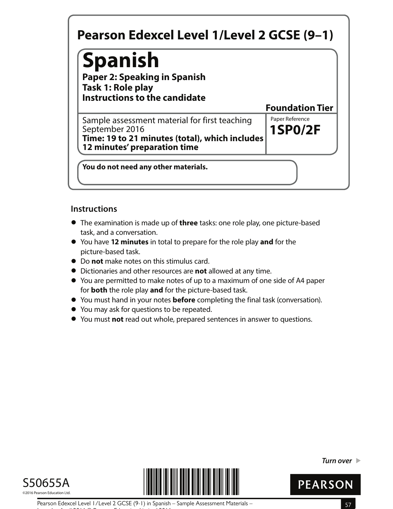# **Spanish**

**Paper 2: Speaking in Spanish Task 1: Role play Instructions to the candidate**

**1SP0/2F** Sample assessment material for first teaching Faper Reference September 2016 **Time: 19 to 21 minutes (total), which includes 12 minutes' preparation time**

**You do not need any other materials.**

## **Instructions**

- **•** The examination is made up of **three** tasks: one role play, one picture-based task, and a conversation.
- **•** You have **12 minutes** in total to prepare for the role play **and** for the picture-based task.
- **•** Do **not** make notes on this stimulus card.
- **•** Dictionaries and other resources are **not** allowed at any time.
- **•** You are permitted to make notes of up to a maximum of one side of A4 paper for **both** the role play **and** for the picture-based task.
- **•** for **both** the role play and for the picture-based task.<br>• You must hand in your notes **before** completing the final task (conversation).
- **•** You must hand in your notes **before** comp<br>• You may ask for questions to be repeated.
- **●** You may ask for questions to be repeated.<br>● You must **not** read out whole, prepared sentences in answer to questions.





**Turn over** 



**Foundation Tier**

Pearson Edexcel Level 1/Level 2 GCSE (9-1) in Spanish – Sample Assessment Materials – 57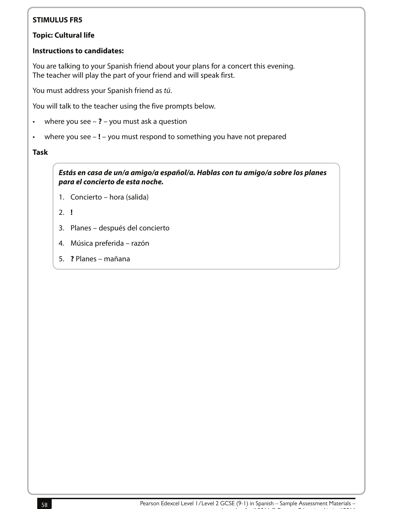#### **Topic: Cultural life**

#### **Instructions to candidates:**

You are talking to your Spanish friend about your plans for a concert this evening. The teacher will play the part of your friend and will speak first.

You must address your Spanish friend as tú.

You will talk to the teacher using the five prompts below.

- where you see **?** you must ask a question
- where you see **!** you must respond to something you have not prepared

**Task**

**Estás en casa de un/a amigo/a español/a. Hablas con tu amigo/a sobre los planes para el concierto de esta noche.**

- 1. Concierto hora (salida)
- 2. **!**
- 3. Planes después del concierto
- 4. Música preferida razón
- 5. **?** Planes mañana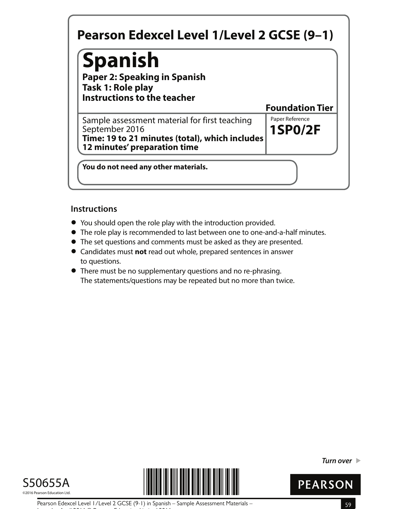# **Spanish**

**Paper 2: Speaking in Spanish Task 1: Role play Instructions to the teacher**

**1SP0/2F** Sample assessment material for first teaching Faper Reference September 2016 **Time: 19 to 21 minutes (total), which includes 12 minutes' preparation time**

**You do not need any other materials.**

## **Instructions**

- **•** You should open the role play with the introduction provided.
- You should open the role play with the introduction provided.<br>● The role play is recommended to last between one to one-and-a-half minutes.
- The role play is recommended to last between one to one-and-a-half n<br>● The set questions and comments must be asked as they are presented. • The set questions and comments must be asked as they are presented.<br>• Candidates must **not** read out whole, prepared sentences in answer
- to questions.
- **•** There must be no supplementary questions and no re-phrasing. The statements/questions may be repeated but no more than twice.





**Turn over** 



**Foundation Tier**

Pearson Edexcel Level 1/Level 2 GCSE (9-1) in Spanish – Sample Assessment Materials – 59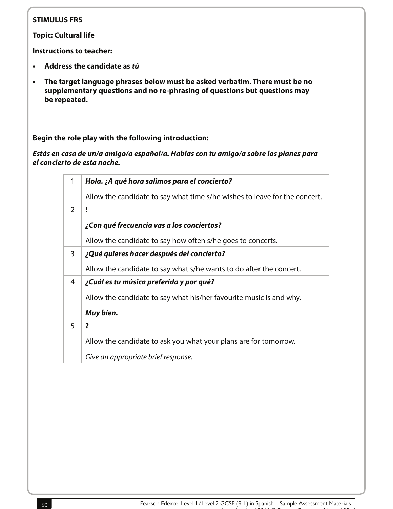**Topic: Cultural life**

**Instructions to teacher:**

- **• Address the candidate as tú**
- **• The target language phrases below must be asked verbatim. There must be no supplementary questions and no re-phrasing of questions but questions may be repeated.**

**Begin the role play with the following introduction:**

**Estás en casa de un/a amigo/a español/a. Hablas con tu amigo/a sobre los planes para el concierto de esta noche.**

| $\mathbf{1}$  | Hola. ¿A qué hora salimos para el concierto?                               |
|---------------|----------------------------------------------------------------------------|
|               | Allow the candidate to say what time s/he wishes to leave for the concert. |
| $\mathcal{P}$ | ļ                                                                          |
|               | ¿Con qué frecuencia vas a los conciertos?                                  |
|               | Allow the candidate to say how often s/he goes to concerts.                |
| 3             | ¿Qué quieres hacer después del concierto?                                  |
|               | Allow the candidate to say what s/he wants to do after the concert.        |
| 4             | ¿Cuál es tu música preferida y por qué?                                    |
|               | Allow the candidate to say what his/her favourite music is and why.        |
|               | Muy bien.                                                                  |
| 5             | ?                                                                          |
|               | Allow the candidate to ask you what your plans are for tomorrow.           |
|               | Give an appropriate brief response.                                        |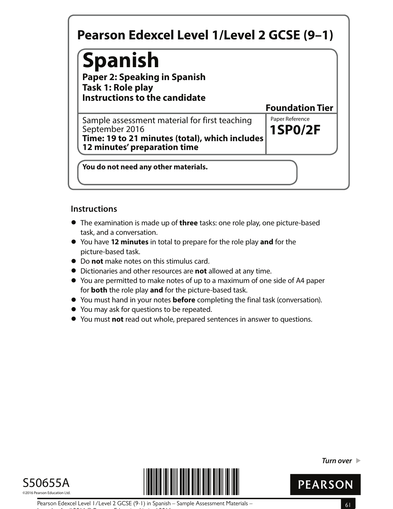# **Spanish**

**Paper 2: Speaking in Spanish Task 1: Role play Instructions to the candidate**

**1SP0/2F** Sample assessment material for first teaching Faper Reference September 2016 **Time: 19 to 21 minutes (total), which includes 12 minutes' preparation time**

**You do not need any other materials.**

## **Instructions**

- **•** The examination is made up of **three** tasks: one role play, one picture-based task, and a conversation.
- **•** You have **12 minutes** in total to prepare for the role play **and** for the picture-based task.
- **•** Do **not** make notes on this stimulus card.
- **•** Dictionaries and other resources are **not** allowed at any time.
- **•** You are permitted to make notes of up to a maximum of one side of A4 paper for **both** the role play **and** for the picture-based task.
- **•** for **both** the role play and for the picture-based task.<br>• You must hand in your notes **before** completing the final task (conversation).
- **•** You must hand in your notes **before** comp<br>• You may ask for questions to be repeated.
- **●** You may ask for questions to be repeated.<br>● You must **not** read out whole, prepared sentences in answer to questions.





**Turn over** 



**Foundation Tier**

Pearson Edexcel Level 1/Level 2 GCSE (9-1) in Spanish – Sample Assessment Materials – 61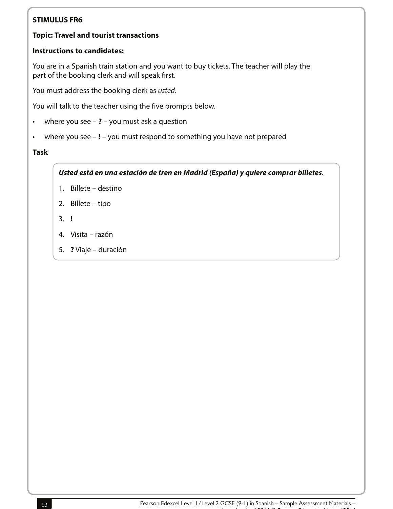#### **Topic: Travel and tourist transactions**

#### **Instructions to candidates:**

You are in a Spanish train station and you want to buy tickets. The teacher will play the part of the booking clerk and will speak first.

You must address the booking clerk as usted.

You will talk to the teacher using the five prompts below.

- where you see **?** you must ask a question
- where you see **!** you must respond to something you have not prepared

#### **Task**

**Usted está en una estación de tren en Madrid (España) y quiere comprar billetes.**

- 1. Billete destino
- 2. Billete tipo
- 3. **!**
- 4. Visita razón
- 5. **?** Viaje duración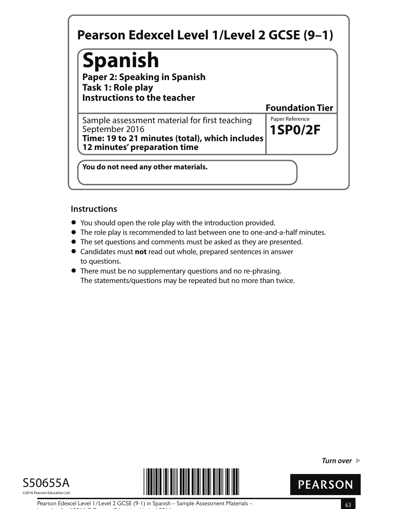# **Spanish**

**Paper 2: Speaking in Spanish Task 1: Role play Instructions to the teacher**

**1SP0/2F** Sample assessment material for first teaching Faper Reference September 2016 **Time: 19 to 21 minutes (total), which includes 12 minutes' preparation time**

**You do not need any other materials.**

## **Instructions**

- **•** You should open the role play with the introduction provided.
- You should open the role play with the introduction provided.<br>● The role play is recommended to last between one to one-and-a-half minutes.
- The role play is recommended to last between one to one-and-a-half n<br>● The set questions and comments must be asked as they are presented. • The set questions and comments must be asked as they are presented.<br>• Candidates must **not** read out whole, prepared sentences in answer
- to questions.
- **•** There must be no supplementary questions and no re-phrasing. The statements/questions may be repeated but no more than twice.





**Turn over** 



**Foundation Tier**

Pearson Edexcel Level 1/Level 2 GCSE (9-1) in Spanish – Sample Assessment Materials – 63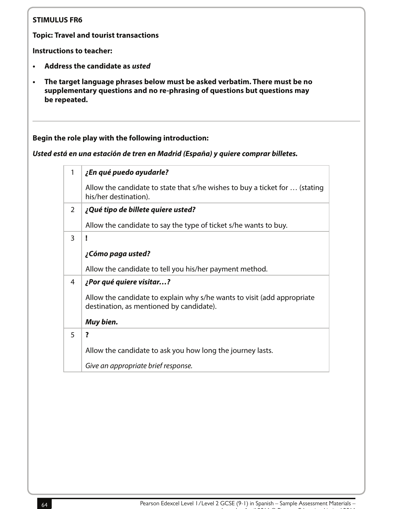**Topic: Travel and tourist transactions**

**Instructions to teacher:**

- **• Address the candidate as usted**
- **• The target language phrases below must be asked verbatim. There must be no supplementary questions and no re-phrasing of questions but questions may be repeated.**

### **Begin the role play with the following introduction:**

**Usted está en una estación de tren en Madrid (España) y quiere comprar billetes.**

| 1              | ¿En qué puedo ayudarle?                                                                                             |
|----------------|---------------------------------------------------------------------------------------------------------------------|
|                | Allow the candidate to state that s/he wishes to buy a ticket for  (stating<br>his/her destination).                |
| $\overline{2}$ | ¿Qué tipo de billete quiere usted?                                                                                  |
|                | Allow the candidate to say the type of ticket s/he wants to buy.                                                    |
| 3              | I                                                                                                                   |
|                | ¿Cómo paga usted?                                                                                                   |
|                | Allow the candidate to tell you his/her payment method.                                                             |
| 4              | ¿Por qué quiere visitar?                                                                                            |
|                | Allow the candidate to explain why s/he wants to visit (add appropriate<br>destination, as mentioned by candidate). |
|                | Muy bien.                                                                                                           |
| 5              | ?                                                                                                                   |
|                | Allow the candidate to ask you how long the journey lasts.                                                          |
|                | Give an appropriate brief response.                                                                                 |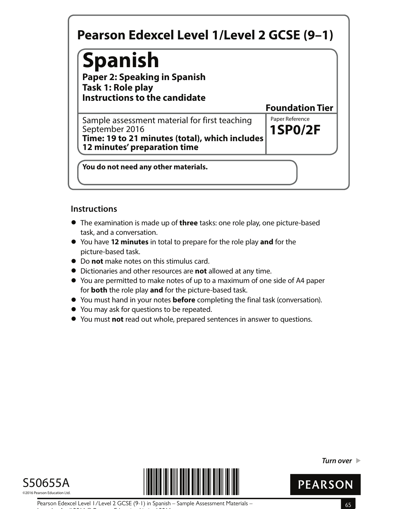# **Spanish**

**Paper 2: Speaking in Spanish Task 1: Role play Instructions to the candidate**

**1SP0/2F** Sample assessment material for first teaching Faper Reference September 2016 **Time: 19 to 21 minutes (total), which includes 12 minutes' preparation time**

**You do not need any other materials.**

## **Instructions**

- **•** The examination is made up of **three** tasks: one role play, one picture-based task, and a conversation.
- **•** You have **12 minutes** in total to prepare for the role play **and** for the picture-based task.
- **•** Do **not** make notes on this stimulus card.
- **•** Dictionaries and other resources are **not** allowed at any time.
- **•** You are permitted to make notes of up to a maximum of one side of A4 paper for **both** the role play **and** for the picture-based task.
- **•** for **both** the role play and for the picture-based task.<br>• You must hand in your notes **before** completing the final task (conversation).
- **•** You must hand in your notes **before** comp<br>• You may ask for questions to be repeated.
- **●** You may ask for questions to be repeated.<br>● You must **not** read out whole, prepared sentences in answer to questions.





**Turn over** 



**Foundation Tier**

Pearson Edexcel Level 1/Level 2 GCSE (9-1) in Spanish – Sample Assessment Materials – 65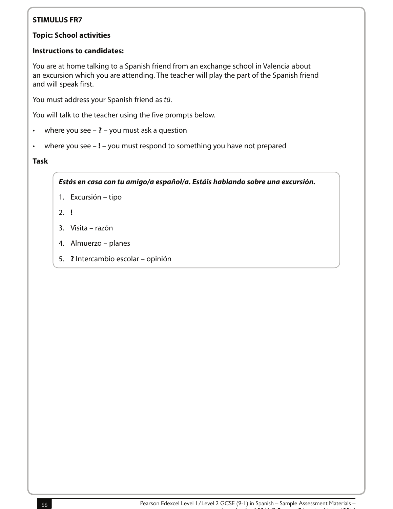#### **Topic: School activities**

#### **Instructions to candidates:**

You are at home talking to a Spanish friend from an exchange school in Valencia about an excursion which you are attending. The teacher will play the part of the Spanish friend and will speak first.

You must address your Spanish friend as tú.

You will talk to the teacher using the five prompts below.

- where you see **?** you must ask a question
- where you see **!** you must respond to something you have not prepared

#### **Task**

**Estás en casa con tu amigo/a español/a. Estáis hablando sobre una excursión.**

- 1. Excursión tipo
- 2. **!**
- 3. Visita razón
- 4. Almuerzo planes
- 5. **?** Intercambio escolar opinión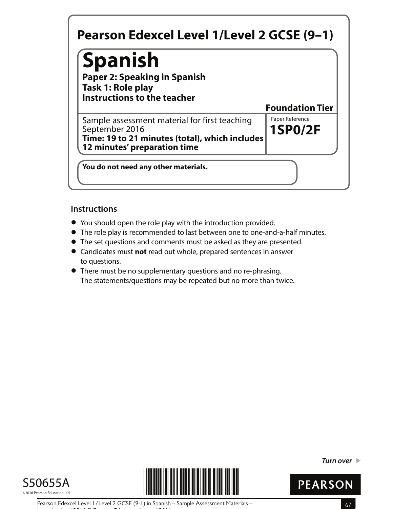# **Spanish**

**Paper 2: Speaking in Spanish Task 1: Role play Instructions to the teacher**

**1SP0/2F** Sample assessment material for first teaching Faper Reference September 2016 **Time: 19 to 21 minutes (total), which includes 12 minutes' preparation time**

**You do not need any other materials.**

## **Instructions**

- **•** You should open the role play with the introduction provided.
- You should open the role play with the introduction provided.<br>● The role play is recommended to last between one to one-and-a-half minutes.
- The role play is recommended to last between one to one-and-a-half n<br>● The set questions and comments must be asked as they are presented. • The set questions and comments must be asked as they are presented.<br>• Candidates must **not** read out whole, prepared sentences in answer
- to questions.
- **•** There must be no supplementary questions and no re-phrasing. The statements/questions may be repeated but no more than twice.





**Turn over** 



**Foundation Tier**

Pearson Edexcel Level 1/Level 2 GCSE (9-1) in Spanish – Sample Assessment Materials – 67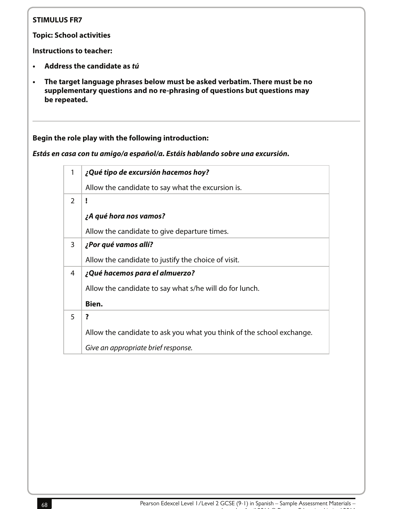**Topic: School activities**

**Instructions to teacher:**

- **• Address the candidate as tú**
- **• The target language phrases below must be asked verbatim. There must be no supplementary questions and no re-phrasing of questions but questions may be repeated.**

#### **Begin the role play with the following introduction:**

**Estás en casa con tu amigo/a español/a. Estáis hablando sobre una excursión.**

|               | ¿Qué tipo de excursión hacemos hoy?                                   |
|---------------|-----------------------------------------------------------------------|
|               | Allow the candidate to say what the excursion is.                     |
| $\mathcal{P}$ | Ţ                                                                     |
|               | ¿A qué hora nos vamos?                                                |
|               | Allow the candidate to give departure times.                          |
| 3             | ¿Por qué vamos allí?                                                  |
|               | Allow the candidate to justify the choice of visit.                   |
| 4             | ¿Qué hacemos para el almuerzo?                                        |
|               | Allow the candidate to say what s/he will do for lunch.               |
|               | Bien.                                                                 |
| 5             | ?                                                                     |
|               | Allow the candidate to ask you what you think of the school exchange. |
|               | Give an appropriate brief response.                                   |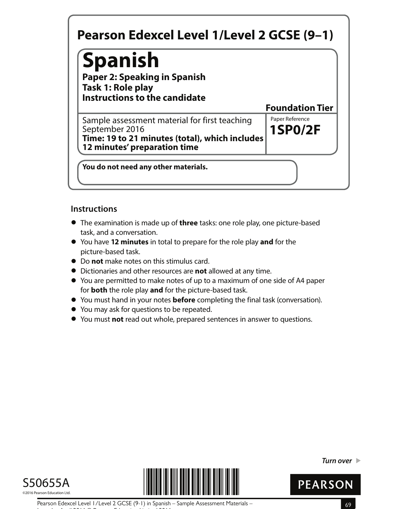# **Spanish**

**Paper 2: Speaking in Spanish Task 1: Role play Instructions to the candidate**

**1SP0/2F** Sample assessment material for first teaching Faper Reference September 2016 **Time: 19 to 21 minutes (total), which includes 12 minutes' preparation time**

**You do not need any other materials.**

## **Instructions**

- **•** The examination is made up of **three** tasks: one role play, one picture-based task, and a conversation.
- **•** You have **12 minutes** in total to prepare for the role play **and** for the picture-based task.
- **•** Do **not** make notes on this stimulus card.
- **•** Dictionaries and other resources are **not** allowed at any time.
- **•** You are permitted to make notes of up to a maximum of one side of A4 paper for **both** the role play **and** for the picture-based task.
- **•** for **both** the role play and for the picture-based task.<br>• You must hand in your notes **before** completing the final task (conversation).
- **•** You must hand in your notes **before** comp<br>• You may ask for questions to be repeated.
- **●** You may ask for questions to be repeated.<br>● You must **not** read out whole, prepared sentences in answer to questions.





**Turn over** 



**Foundation Tier**

Pearson Edexcel Level 1/Level 2 GCSE (9-1) in Spanish – Sample Assessment Materials – 69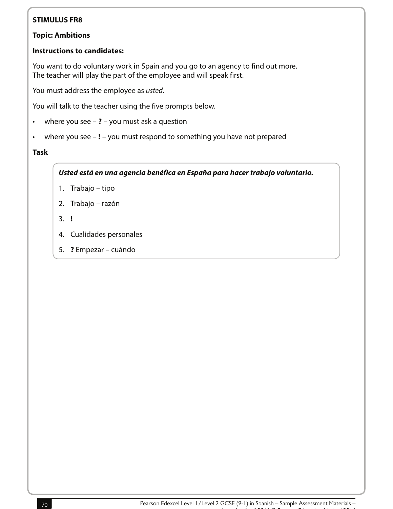#### **Topic: Ambitions**

#### **Instructions to candidates:**

You want to do voluntary work in Spain and you go to an agency to find out more. The teacher will play the part of the employee and will speak first.

You must address the employee as usted.

You will talk to the teacher using the five prompts below.

- where you see **?** you must ask a question
- where you see **!** you must respond to something you have not prepared

#### **Task**

**Usted está en una agencia benéfica en España para hacer trabajo voluntario.**

- 1. Trabajo tipo
- 2. Trabajo razón
- 3. **!**
- 4. Cualidades personales
- 5. **?** Empezar cuándo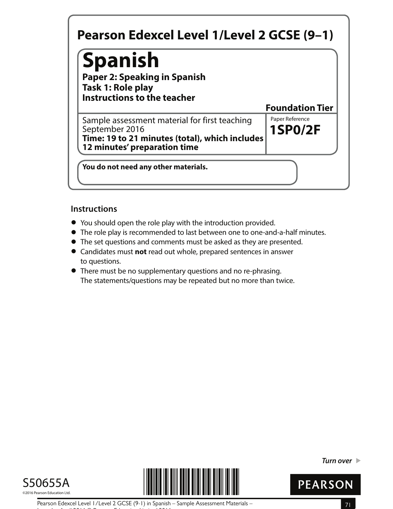# **Spanish**

**Paper 2: Speaking in Spanish Task 1: Role play Instructions to the teacher**

**1SP0/2F** Sample assessment material for first teaching Faper Reference September 2016 **Time: 19 to 21 minutes (total), which includes 12 minutes' preparation time**

**You do not need any other materials.**

## **Instructions**

- **•** You should open the role play with the introduction provided.
- You should open the role play with the introduction provided.<br>● The role play is recommended to last between one to one-and-a-half minutes.
- The role play is recommended to last between one to one-and-a-half n<br>● The set questions and comments must be asked as they are presented. • The set questions and comments must be asked as they are presented.<br>• Candidates must **not** read out whole, prepared sentences in answer
- to questions.
- **•** There must be no supplementary questions and no re-phrasing. The statements/questions may be repeated but no more than twice.





**Turn over** 



**Foundation Tier**

Pearson Edexcel Level 1/Level 2 GCSE (9-1) in Spanish – Sample Assessment Materials – 71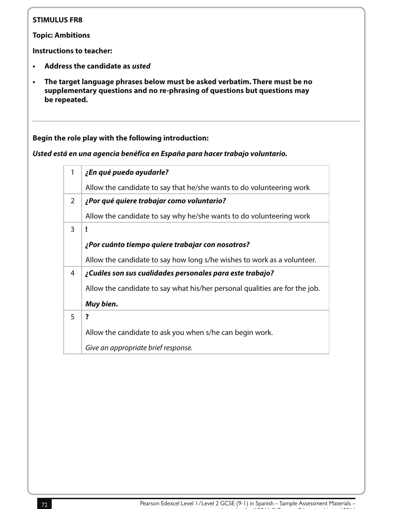**Topic: Ambitions**

**Instructions to teacher:**

- **• Address the candidate as usted**
- **• The target language phrases below must be asked verbatim. There must be no supplementary questions and no re-phrasing of questions but questions may be repeated.**

**Begin the role play with the following introduction:**

**Usted está en una agencia benéfica en España para hacer trabajo voluntario.**

| ¿En qué puedo ayudarle?                                                     |
|-----------------------------------------------------------------------------|
| Allow the candidate to say that he/she wants to do volunteering work        |
| ¿Por qué quiere trabajar como voluntario?                                   |
| Allow the candidate to say why he/she wants to do volunteering work         |
|                                                                             |
| ¿Por cuánto tiempo quiere trabajar con nosotros?                            |
| Allow the candidate to say how long s/he wishes to work as a volunteer.     |
| ¿Cuáles son sus cualidades personales para este trabajo?                    |
| Allow the candidate to say what his/her personal qualities are for the job. |
| Muy bien.                                                                   |
| ?                                                                           |
| Allow the candidate to ask you when s/he can begin work.                    |
| Give an appropriate brief response.                                         |
|                                                                             |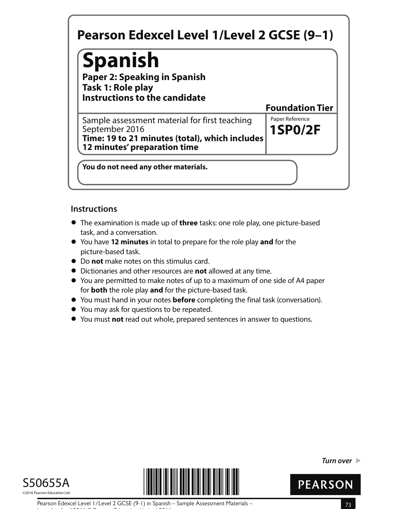# **Spanish**

**Paper 2: Speaking in Spanish Task 1: Role play Instructions to the candidate**

**1SP0/2F** Sample assessment material for first teaching Faper Reference September 2016 **Time: 19 to 21 minutes (total), which includes 12 minutes' preparation time**

**You do not need any other materials.**

## **Instructions**

- **•** The examination is made up of **three** tasks: one role play, one picture-based task, and a conversation.
- **•** You have **12 minutes** in total to prepare for the role play **and** for the picture-based task.
- **•** Do **not** make notes on this stimulus card.
- **•** Dictionaries and other resources are **not** allowed at any time.
- **•** You are permitted to make notes of up to a maximum of one side of A4 paper for **both** the role play **and** for the picture-based task.
- **•** for **both** the role play and for the picture-based task.<br>• You must hand in your notes **before** completing the final task (conversation).
- **•** You must hand in your notes **before** comp<br>• You may ask for questions to be repeated.
- **●** You may ask for questions to be repeated.<br>● You must **not** read out whole, prepared sentences in answer to questions.





**Turn over** 



**Foundation Tier**

Pearson Edexcel Level 1/Level 2 GCSE (9-1) in Spanish – Sample Assessment Materials – 73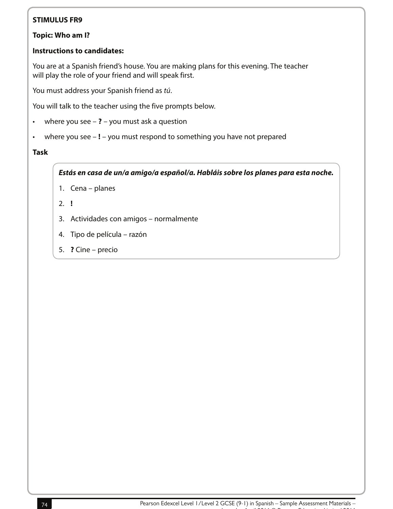#### **Topic: Who am I?**

#### **Instructions to candidates:**

You are at a Spanish friend's house. You are making plans for this evening. The teacher will play the role of your friend and will speak first.

You must address your Spanish friend as tú.

You will talk to the teacher using the five prompts below.

- where you see **?** you must ask a question
- where you see **!** you must respond to something you have not prepared

#### **Task**

**Estás en casa de un/a amigo/a español/a. Habláis sobre los planes para esta noche.**

- 1. Cena planes
- 2. **!**
- 3. Actividades con amigos normalmente
- 4. Tipo de película razón
- 5. **?** Cine precio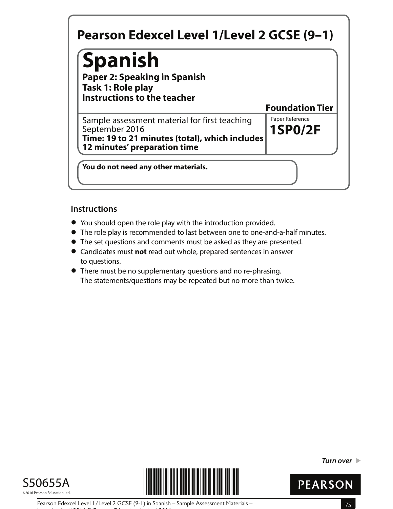# **Spanish**

**Paper 2: Speaking in Spanish Task 1: Role play Instructions to the teacher**

**1SP0/2F** Sample assessment material for first teaching Faper Reference September 2016 **Time: 19 to 21 minutes (total), which includes 12 minutes' preparation time**

**You do not need any other materials.**

## **Instructions**

- **•** You should open the role play with the introduction provided.
- You should open the role play with the introduction provided.<br>● The role play is recommended to last between one to one-and-a-half minutes.
- The role play is recommended to last between one to one-and-a-half n<br>● The set questions and comments must be asked as they are presented. • The set questions and comments must be asked as they are presented.<br>• Candidates must **not** read out whole, prepared sentences in answer
- to questions.
- **•** There must be no supplementary questions and no re-phrasing. The statements/questions may be repeated but no more than twice.





**Turn over** 



**Foundation Tier**

Pearson Edexcel Level 1/Level 2 GCSE (9-1) in Spanish – Sample Assessment Materials – 75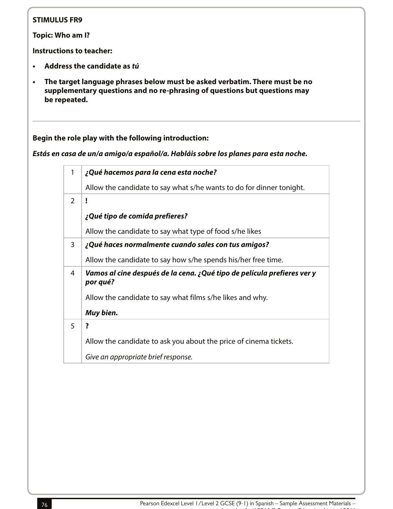**Topic: Who am I?**

**Instructions to teacher:**

- **• Address the candidate as tú**
- **• The target language phrases below must be asked verbatim. There must be no supplementary questions and no re-phrasing of questions but questions may be repeated.**

**Begin the role play with the following introduction:**

**Estás en casa de un/a amigo/a español/a. Habláis sobre los planes para esta noche.**

| 1             | ¿Qué hacemos para la cena esta noche?                                               |
|---------------|-------------------------------------------------------------------------------------|
|               | Allow the candidate to say what s/he wants to do for dinner tonight.                |
| $\mathcal{P}$ | Ţ                                                                                   |
|               | ¿Qué tipo de comida prefieres?                                                      |
|               | Allow the candidate to say what type of food s/he likes                             |
| 3             | ¿Qué haces normalmente cuando sales con tus amigos?                                 |
|               | Allow the candidate to say how s/he spends his/her free time.                       |
| 4             | Vamos al cine después de la cena. ¿Qué tipo de película prefieres ver y<br>por qué? |
|               | Allow the candidate to say what films s/he likes and why.                           |
|               | Muy bien.                                                                           |
| 5             | ?                                                                                   |
|               | Allow the candidate to ask you about the price of cinema tickets.                   |
|               | Give an appropriate brief response.                                                 |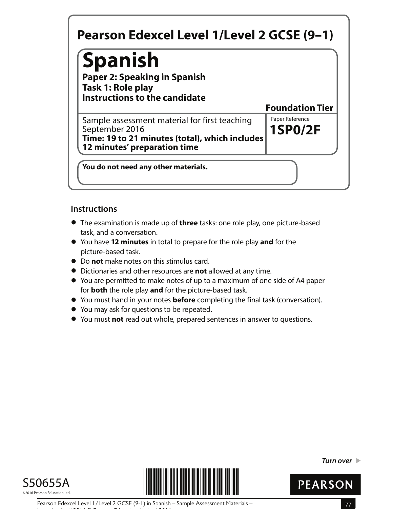# **Spanish**

**Paper 2: Speaking in Spanish Task 1: Role play Instructions to the candidate**

**1SP0/2F** Sample assessment material for first teaching Faper Reference September 2016 **Time: 19 to 21 minutes (total), which includes 12 minutes' preparation time**

**You do not need any other materials.**

## **Instructions**

- **•** The examination is made up of **three** tasks: one role play, one picture-based task, and a conversation.
- **•** You have **12 minutes** in total to prepare for the role play **and** for the picture-based task.
- **•** Do **not** make notes on this stimulus card.
- **•** Dictionaries and other resources are **not** allowed at any time.
- **•** You are permitted to make notes of up to a maximum of one side of A4 paper for **both** the role play **and** for the picture-based task.
- **•** for **both** the role play and for the picture-based task.<br>• You must hand in your notes **before** completing the final task (conversation).
- **•** You must hand in your notes **before** comp<br>• You may ask for questions to be repeated.
- **●** You may ask for questions to be repeated.<br>● You must **not** read out whole, prepared sentences in answer to questions.





**Turn over** 



**Foundation Tier**

Pearson Edexcel Level 1/Level 2 GCSE (9-1) in Spanish – Sample Assessment Materials – 77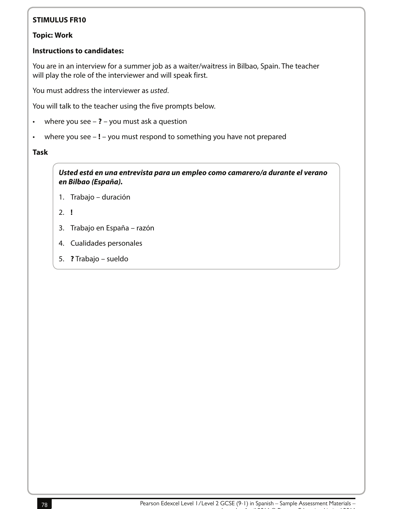#### **Topic: Work**

### **Instructions to candidates:**

You are in an interview for a summer job as a waiter/waitress in Bilbao, Spain. The teacher will play the role of the interviewer and will speak first.

You must address the interviewer as usted.

You will talk to the teacher using the five prompts below.

- where you see **?** you must ask a question
- where you see **!** you must respond to something you have not prepared

#### **Task**

**Usted está en una entrevista para un empleo como camarero/a durante el verano en Bilbao (España).**

- 1. Trabajo duración
- 2. **!**
- 3. Trabajo en España razón
- 4. Cualidades personales
- 5. **?** Trabajo sueldo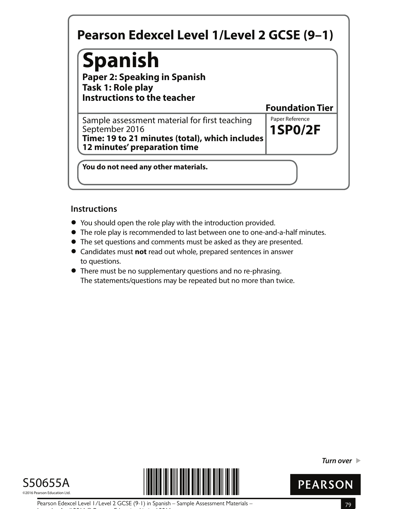# **Spanish**

**Paper 2: Speaking in Spanish Task 1: Role play Instructions to the teacher**

**1SP0/2F** Sample assessment material for first teaching Faper Reference September 2016 **Time: 19 to 21 minutes (total), which includes 12 minutes' preparation time**

**You do not need any other materials.**

## **Instructions**

- **•** You should open the role play with the introduction provided.
- You should open the role play with the introduction provided.<br>● The role play is recommended to last between one to one-and-a-half minutes.
- The role play is recommended to last between one to one-and-a-half n<br>● The set questions and comments must be asked as they are presented. • The set questions and comments must be asked as they are presented.<br>• Candidates must **not** read out whole, prepared sentences in answer
- to questions.
- **•** There must be no supplementary questions and no re-phrasing. The statements/questions may be repeated but no more than twice.





**Turn over** 



**Foundation Tier**

Pearson Edexcel Level 1/Level 2 GCSE (9-1) in Spanish – Sample Assessment Materials – 79